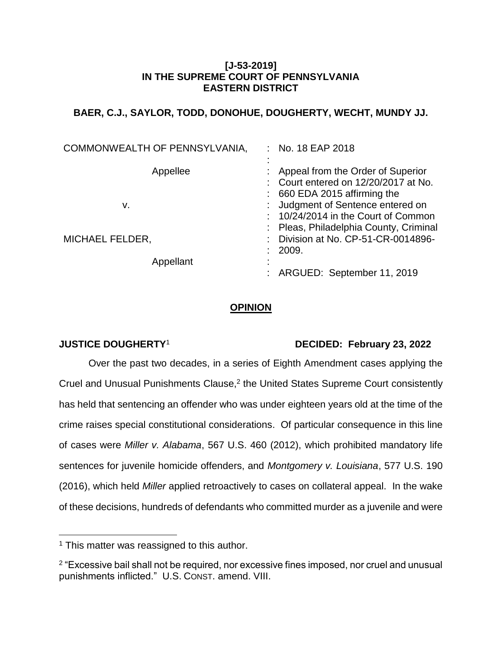## **[J-53-2019] IN THE SUPREME COURT OF PENNSYLVANIA EASTERN DISTRICT**

# **BAER, C.J., SAYLOR, TODD, DONOHUE, DOUGHERTY, WECHT, MUNDY JJ.**

| COMMONWEALTH OF PENNSYLVANIA, | : No. 18 EAP 2018                                                                                                  |
|-------------------------------|--------------------------------------------------------------------------------------------------------------------|
| Appellee                      | Appeal from the Order of Superior<br>: Court entered on 12/20/2017 at No.<br>$\div$ 660 EDA 2015 affirming the     |
| v.                            | Judgment of Sentence entered on<br>$: 10/24/2014$ in the Court of Common<br>: Pleas, Philadelphia County, Criminal |
| <b>MICHAEL FELDER,</b>        | Division at No. CP-51-CR-0014896-<br>2009.                                                                         |
| Appellant                     | ARGUED: September 11, 2019                                                                                         |

## **OPINION**

 $\overline{a}$ 

## **JUSTICE DOUGHERTY**<sup>1</sup> **DECIDED: February 23, 2022**

Over the past two decades, in a series of Eighth Amendment cases applying the Cruel and Unusual Punishments Clause, $2$  the United States Supreme Court consistently has held that sentencing an offender who was under eighteen years old at the time of the crime raises special constitutional considerations. Of particular consequence in this line of cases were *Miller v. Alabama*, 567 U.S. 460 (2012), which prohibited mandatory life sentences for juvenile homicide offenders, and *Montgomery v. Louisiana*, 577 U.S. 190 (2016), which held *Miller* applied retroactively to cases on collateral appeal. In the wake of these decisions, hundreds of defendants who committed murder as a juvenile and were

<sup>&</sup>lt;sup>1</sup> This matter was reassigned to this author.

<sup>&</sup>lt;sup>2</sup> "Excessive bail shall not be required, nor excessive fines imposed, nor cruel and unusual punishments inflicted." U.S. CONST. amend. VIII.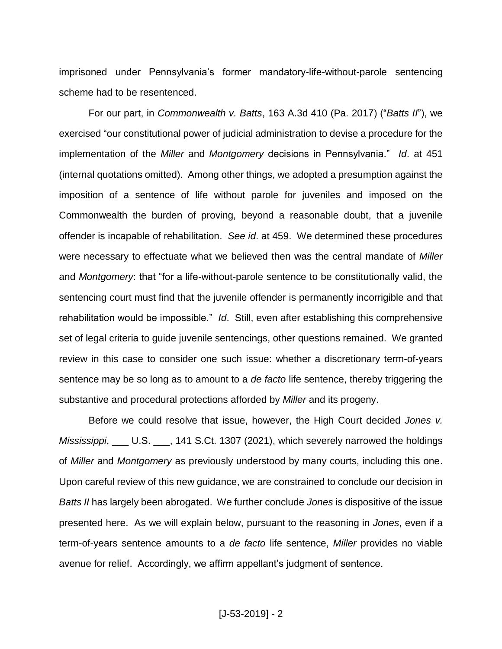imprisoned under Pennsylvania's former mandatory-life-without-parole sentencing scheme had to be resentenced.

For our part, in *Commonwealth v. Batts*, 163 A.3d 410 (Pa. 2017) ("*Batts II*"), we exercised "our constitutional power of judicial administration to devise a procedure for the implementation of the *Miller* and *Montgomery* decisions in Pennsylvania." *Id*. at 451 (internal quotations omitted). Among other things, we adopted a presumption against the imposition of a sentence of life without parole for juveniles and imposed on the Commonwealth the burden of proving, beyond a reasonable doubt, that a juvenile offender is incapable of rehabilitation. *See id*. at 459. We determined these procedures were necessary to effectuate what we believed then was the central mandate of *Miller* and *Montgomery*: that "for a life-without-parole sentence to be constitutionally valid, the sentencing court must find that the juvenile offender is permanently incorrigible and that rehabilitation would be impossible." *Id*. Still, even after establishing this comprehensive set of legal criteria to guide juvenile sentencings, other questions remained. We granted review in this case to consider one such issue: whether a discretionary term-of-years sentence may be so long as to amount to a *de facto* life sentence, thereby triggering the substantive and procedural protections afforded by *Miller* and its progeny.

Before we could resolve that issue, however, the High Court decided *Jones v. Mississippi*, \_\_\_ U.S. \_\_\_, 141 S.Ct. 1307 (2021), which severely narrowed the holdings of *Miller* and *Montgomery* as previously understood by many courts, including this one. Upon careful review of this new guidance, we are constrained to conclude our decision in *Batts II* has largely been abrogated. We further conclude *Jones* is dispositive of the issue presented here. As we will explain below, pursuant to the reasoning in *Jones*, even if a term-of-years sentence amounts to a *de facto* life sentence, *Miller* provides no viable avenue for relief. Accordingly, we affirm appellant's judgment of sentence.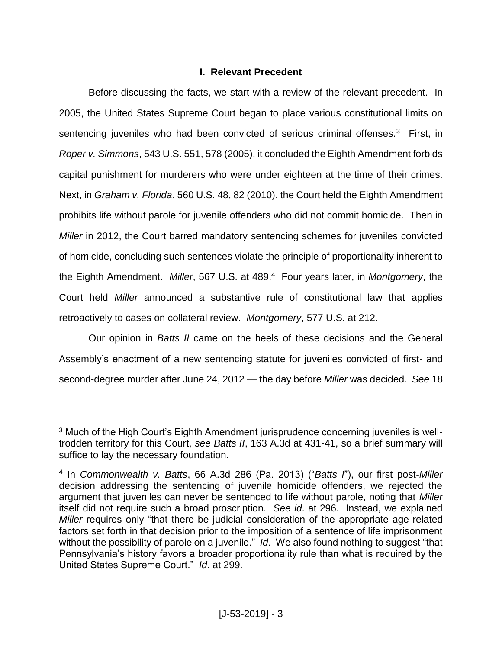## **I. Relevant Precedent**

Before discussing the facts, we start with a review of the relevant precedent. In 2005, the United States Supreme Court began to place various constitutional limits on sentencing juveniles who had been convicted of serious criminal offenses.<sup>3</sup> First, in *Roper v. Simmons*, 543 U.S. 551, 578 (2005), it concluded the Eighth Amendment forbids capital punishment for murderers who were under eighteen at the time of their crimes. Next, in *Graham v. Florida*, 560 U.S. 48, 82 (2010), the Court held the Eighth Amendment prohibits life without parole for juvenile offenders who did not commit homicide. Then in *Miller* in 2012, the Court barred mandatory sentencing schemes for juveniles convicted of homicide, concluding such sentences violate the principle of proportionality inherent to the Eighth Amendment. *Miller*, 567 U.S. at 489. 4 Four years later, in *Montgomery*, the Court held *Miller* announced a substantive rule of constitutional law that applies retroactively to cases on collateral review. *Montgomery*, 577 U.S. at 212.

Our opinion in *Batts II* came on the heels of these decisions and the General Assembly's enactment of a new sentencing statute for juveniles convicted of first- and second-degree murder after June 24, 2012 — the day before *Miller* was decided. *See* 18

<sup>&</sup>lt;sup>3</sup> Much of the High Court's Eighth Amendment jurisprudence concerning juveniles is welltrodden territory for this Court, *see Batts II*, 163 A.3d at 431-41, so a brief summary will suffice to lay the necessary foundation.

<sup>4</sup> In *Commonwealth v. Batts*, 66 A.3d 286 (Pa. 2013) ("*Batts I*"), our first post-*Miller* decision addressing the sentencing of juvenile homicide offenders, we rejected the argument that juveniles can never be sentenced to life without parole, noting that *Miller*  itself did not require such a broad proscription. *See id*. at 296. Instead, we explained *Miller* requires only "that there be judicial consideration of the appropriate age-related factors set forth in that decision prior to the imposition of a sentence of life imprisonment without the possibility of parole on a juvenile." *Id.* We also found nothing to suggest "that Pennsylvania's history favors a broader proportionality rule than what is required by the United States Supreme Court." *Id*. at 299.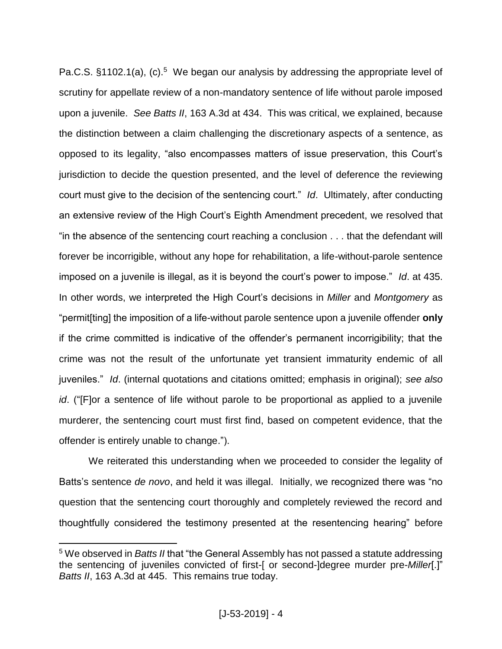Pa.C.S. §1102.1(a), (c).<sup>5</sup> We began our analysis by addressing the appropriate level of scrutiny for appellate review of a non-mandatory sentence of life without parole imposed upon a juvenile. *See Batts II*, 163 A.3d at 434. This was critical, we explained, because the distinction between a claim challenging the discretionary aspects of a sentence, as opposed to its legality, "also encompasses matters of issue preservation, this Court's jurisdiction to decide the question presented, and the level of deference the reviewing court must give to the decision of the sentencing court." *Id*. Ultimately, after conducting an extensive review of the High Court's Eighth Amendment precedent, we resolved that "in the absence of the sentencing court reaching a conclusion . . . that the defendant will forever be incorrigible, without any hope for rehabilitation, a life-without-parole sentence imposed on a juvenile is illegal, as it is beyond the court's power to impose." *Id*. at 435. In other words, we interpreted the High Court's decisions in *Miller* and *Montgomery* as "permit[ting] the imposition of a life-without parole sentence upon a juvenile offender **only**  if the crime committed is indicative of the offender's permanent incorrigibility; that the crime was not the result of the unfortunate yet transient immaturity endemic of all juveniles." *Id*. (internal quotations and citations omitted; emphasis in original); *see also id*. ("[F]or a sentence of life without parole to be proportional as applied to a juvenile murderer, the sentencing court must first find, based on competent evidence, that the offender is entirely unable to change.").

We reiterated this understanding when we proceeded to consider the legality of Batts's sentence *de novo*, and held it was illegal. Initially, we recognized there was "no question that the sentencing court thoroughly and completely reviewed the record and thoughtfully considered the testimony presented at the resentencing hearing" before

<sup>5</sup> We observed in *Batts II* that "the General Assembly has not passed a statute addressing the sentencing of juveniles convicted of first-[ or second-]degree murder pre-*Miller*[.]" *Batts II*, 163 A.3d at 445. This remains true today.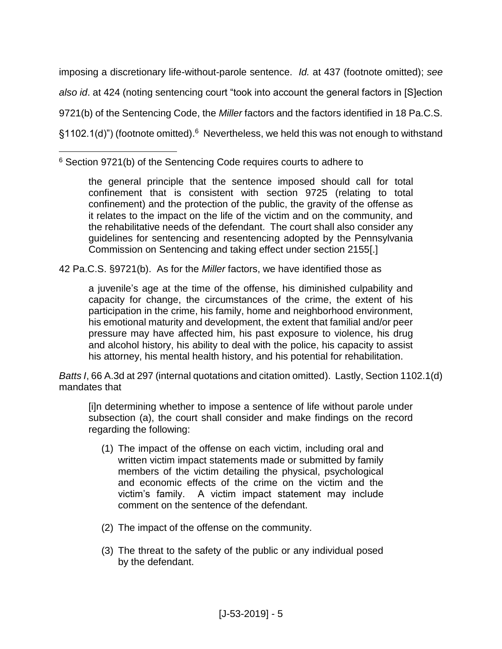imposing a discretionary life-without-parole sentence. *Id.* at 437 (footnote omitted); *see also id*. at 424 (noting sentencing court "took into account the general factors in [S]ection 9721(b) of the Sentencing Code, the *Miller* factors and the factors identified in 18 Pa.C.S. §1102.1(d)") (footnote omitted).<sup>6</sup> Nevertheless, we held this was not enough to withstand

 $\overline{a}$ <sup>6</sup> Section 9721(b) of the Sentencing Code requires courts to adhere to

the general principle that the sentence imposed should call for total confinement that is consistent with section 9725 (relating to total confinement) and the protection of the public, the gravity of the offense as it relates to the impact on the life of the victim and on the community, and the rehabilitative needs of the defendant. The court shall also consider any guidelines for sentencing and resentencing adopted by the Pennsylvania Commission on Sentencing and taking effect under section 2155[.]

42 Pa.C.S. §9721(b). As for the *Miller* factors, we have identified those as

a juvenile's age at the time of the offense, his diminished culpability and capacity for change, the circumstances of the crime, the extent of his participation in the crime, his family, home and neighborhood environment, his emotional maturity and development, the extent that familial and/or peer pressure may have affected him, his past exposure to violence, his drug and alcohol history, his ability to deal with the police, his capacity to assist his attorney, his mental health history, and his potential for rehabilitation.

*Batts I*, 66 A.3d at 297 (internal quotations and citation omitted). Lastly, Section 1102.1(d) mandates that

[i]n determining whether to impose a sentence of life without parole under subsection (a), the court shall consider and make findings on the record regarding the following:

- (1) The impact of the offense on each victim, including oral and written victim impact statements made or submitted by family members of the victim detailing the physical, psychological and economic effects of the crime on the victim and the victim's family. A victim impact statement may include comment on the sentence of the defendant.
- (2) The impact of the offense on the community.
- (3) The threat to the safety of the public or any individual posed by the defendant.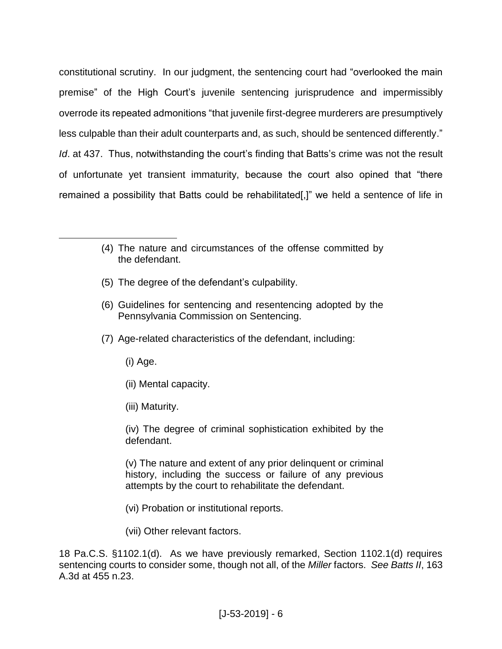constitutional scrutiny. In our judgment, the sentencing court had "overlooked the main premise" of the High Court's juvenile sentencing jurisprudence and impermissibly overrode its repeated admonitions "that juvenile first-degree murderers are presumptively less culpable than their adult counterparts and, as such, should be sentenced differently." *Id.* at 437. Thus, notwithstanding the court's finding that Batts's crime was not the result of unfortunate yet transient immaturity, because the court also opined that "there remained a possibility that Batts could be rehabilitated[,]" we held a sentence of life in

- (5) The degree of the defendant's culpability.
- (6) Guidelines for sentencing and resentencing adopted by the Pennsylvania Commission on Sentencing.
- (7) Age-related characteristics of the defendant, including:
	- (i) Age.

 $\overline{a}$ 

- (ii) Mental capacity.
- (iii) Maturity.

(iv) The degree of criminal sophistication exhibited by the defendant.

(v) The nature and extent of any prior delinquent or criminal history, including the success or failure of any previous attempts by the court to rehabilitate the defendant.

- (vi) Probation or institutional reports.
- (vii) Other relevant factors.

18 Pa.C.S. §1102.1(d). As we have previously remarked, Section 1102.1(d) requires sentencing courts to consider some, though not all, of the *Miller* factors. *See Batts II*, 163 A.3d at 455 n.23.

<sup>(4)</sup> The nature and circumstances of the offense committed by the defendant.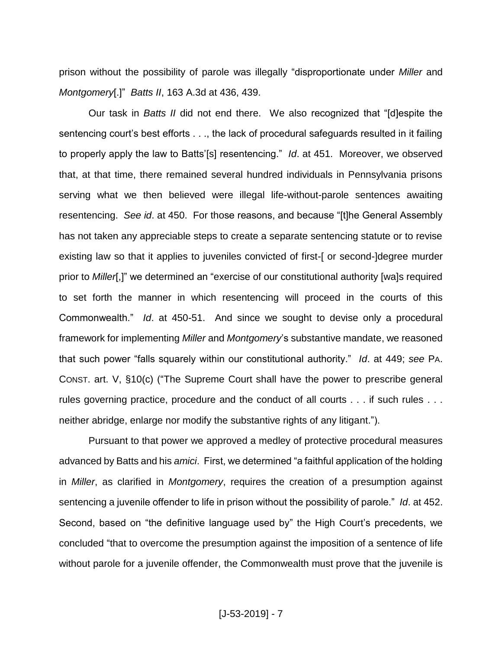prison without the possibility of parole was illegally "disproportionate under *Miller* and *Montgomery*[.]" *Batts II*, 163 A.3d at 436, 439.

Our task in *Batts II* did not end there. We also recognized that "[d]espite the sentencing court's best efforts . . ., the lack of procedural safeguards resulted in it failing to properly apply the law to Batts'[s] resentencing." *Id*. at 451. Moreover, we observed that, at that time, there remained several hundred individuals in Pennsylvania prisons serving what we then believed were illegal life-without-parole sentences awaiting resentencing. *See id*. at 450. For those reasons, and because "[t]he General Assembly has not taken any appreciable steps to create a separate sentencing statute or to revise existing law so that it applies to juveniles convicted of first-[ or second-]degree murder prior to *Miller*[,]" we determined an "exercise of our constitutional authority [wa]s required to set forth the manner in which resentencing will proceed in the courts of this Commonwealth." *Id*. at 450-51. And since we sought to devise only a procedural framework for implementing *Miller* and *Montgomery*'s substantive mandate, we reasoned that such power "falls squarely within our constitutional authority." *Id*. at 449; *see* PA. CONST. art. V, §10(c) ("The Supreme Court shall have the power to prescribe general rules governing practice, procedure and the conduct of all courts . . . if such rules . . . neither abridge, enlarge nor modify the substantive rights of any litigant.").

Pursuant to that power we approved a medley of protective procedural measures advanced by Batts and his *amici*. First, we determined "a faithful application of the holding in *Miller*, as clarified in *Montgomery*, requires the creation of a presumption against sentencing a juvenile offender to life in prison without the possibility of parole." *Id*. at 452. Second, based on "the definitive language used by" the High Court's precedents, we concluded "that to overcome the presumption against the imposition of a sentence of life without parole for a juvenile offender, the Commonwealth must prove that the juvenile is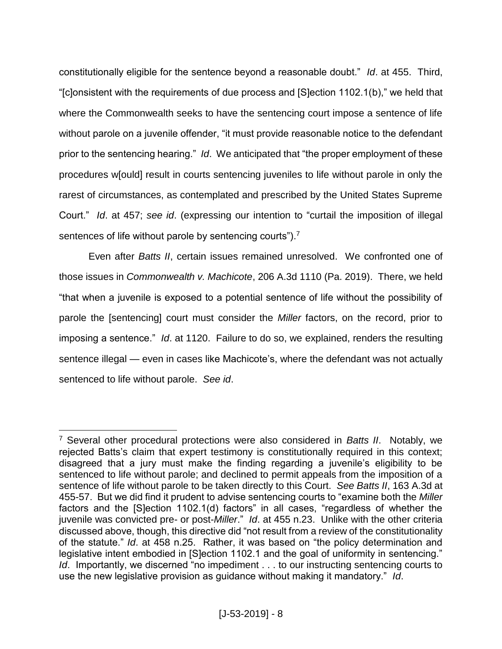constitutionally eligible for the sentence beyond a reasonable doubt." *Id*. at 455. Third, "[c]onsistent with the requirements of due process and [S]ection 1102.1(b)," we held that where the Commonwealth seeks to have the sentencing court impose a sentence of life without parole on a juvenile offender, "it must provide reasonable notice to the defendant prior to the sentencing hearing." *Id*. We anticipated that "the proper employment of these procedures w[ould] result in courts sentencing juveniles to life without parole in only the rarest of circumstances, as contemplated and prescribed by the United States Supreme Court." *Id*. at 457; *see id*. (expressing our intention to "curtail the imposition of illegal sentences of life without parole by sentencing courts").<sup>7</sup>

Even after *Batts II*, certain issues remained unresolved. We confronted one of those issues in *Commonwealth v. Machicote*, 206 A.3d 1110 (Pa. 2019). There, we held "that when a juvenile is exposed to a potential sentence of life without the possibility of parole the [sentencing] court must consider the *Miller* factors, on the record, prior to imposing a sentence." *Id*. at 1120. Failure to do so, we explained, renders the resulting sentence illegal — even in cases like Machicote's, where the defendant was not actually sentenced to life without parole. *See id*.

<sup>7</sup> Several other procedural protections were also considered in *Batts II*. Notably, we rejected Batts's claim that expert testimony is constitutionally required in this context; disagreed that a jury must make the finding regarding a juvenile's eligibility to be sentenced to life without parole; and declined to permit appeals from the imposition of a sentence of life without parole to be taken directly to this Court. *See Batts II*, 163 A.3d at 455-57. But we did find it prudent to advise sentencing courts to "examine both the *Miller*  factors and the [S]ection 1102.1(d) factors" in all cases, "regardless of whether the juvenile was convicted pre- or post-*Miller*." *Id*. at 455 n.23. Unlike with the other criteria discussed above, though, this directive did "not result from a review of the constitutionality of the statute." *Id*. at 458 n.25. Rather, it was based on "the policy determination and legislative intent embodied in [S]ection 1102.1 and the goal of uniformity in sentencing." *Id.* Importantly, we discerned "no impediment . . . to our instructing sentencing courts to use the new legislative provision as guidance without making it mandatory." *Id*.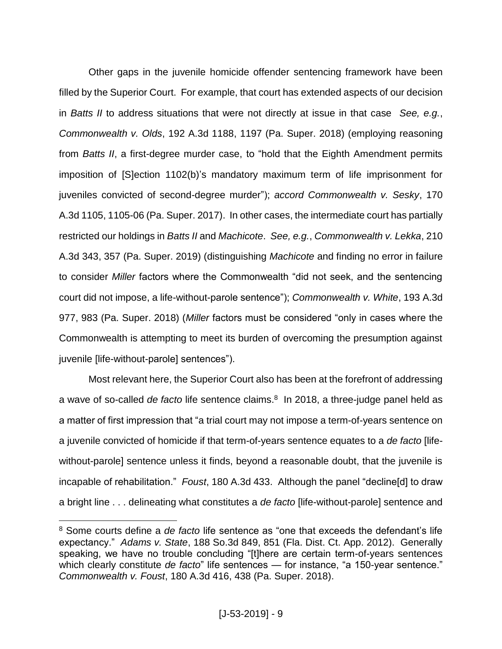Other gaps in the juvenile homicide offender sentencing framework have been filled by the Superior Court. For example, that court has extended aspects of our decision in *Batts II* to address situations that were not directly at issue in that case *See, e.g.*, *Commonwealth v. Olds*, 192 A.3d 1188, 1197 (Pa. Super. 2018) (employing reasoning from *Batts II*, a first-degree murder case, to "hold that the Eighth Amendment permits imposition of [S]ection 1102(b)'s mandatory maximum term of life imprisonment for juveniles convicted of second-degree murder"); *accord Commonwealth v. Sesky*, 170 A.3d 1105, 1105-06 (Pa. Super. 2017). In other cases, the intermediate court has partially restricted our holdings in *Batts II* and *Machicote*. *See, e.g.*, *Commonwealth v. Lekka*, 210 A.3d 343, 357 (Pa. Super. 2019) (distinguishing *Machicote* and finding no error in failure to consider *Miller* factors where the Commonwealth "did not seek, and the sentencing court did not impose, a life-without-parole sentence"); *Commonwealth v. White*, 193 A.3d 977, 983 (Pa. Super. 2018) (*Miller* factors must be considered "only in cases where the Commonwealth is attempting to meet its burden of overcoming the presumption against juvenile [life-without-parole] sentences").

Most relevant here, the Superior Court also has been at the forefront of addressing a wave of so-called *de facto* life sentence claims. 8 In 2018, a three-judge panel held as a matter of first impression that "a trial court may not impose a term-of-years sentence on a juvenile convicted of homicide if that term-of-years sentence equates to a *de facto* [lifewithout-parole] sentence unless it finds, beyond a reasonable doubt, that the juvenile is incapable of rehabilitation." *Foust*, 180 A.3d 433. Although the panel "decline[d] to draw a bright line . . . delineating what constitutes a *de facto* [life-without-parole] sentence and

<sup>8</sup> Some courts define a *de facto* life sentence as "one that exceeds the defendant's life expectancy." *Adams v. State*, 188 So.3d 849, 851 (Fla. Dist. Ct. App. 2012). Generally speaking, we have no trouble concluding "[t]here are certain term-of-years sentences which clearly constitute *de facto*" life sentences — for instance, "a 150-year sentence." *Commonwealth v. Foust*, 180 A.3d 416, 438 (Pa. Super. 2018).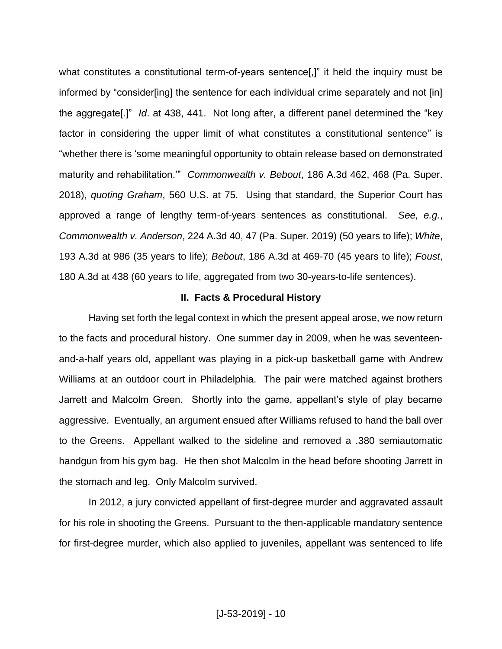what constitutes a constitutional term-of-years sentence[,]" it held the inquiry must be informed by "consider[ing] the sentence for each individual crime separately and not [in] the aggregate[.]" *Id*. at 438, 441. Not long after, a different panel determined the "key factor in considering the upper limit of what constitutes a constitutional sentence" is "whether there is 'some meaningful opportunity to obtain release based on demonstrated maturity and rehabilitation.'" *Commonwealth v. Bebout*, 186 A.3d 462, 468 (Pa. Super. 2018), *quoting Graham*, 560 U.S. at 75. Using that standard, the Superior Court has approved a range of lengthy term-of-years sentences as constitutional. *See, e.g.*, *Commonwealth v. Anderson*, 224 A.3d 40, 47 (Pa. Super. 2019) (50 years to life); *White*, 193 A.3d at 986 (35 years to life); *Bebout*, 186 A.3d at 469-70 (45 years to life); *Foust*, 180 A.3d at 438 (60 years to life, aggregated from two 30-years-to-life sentences).

#### **II. Facts & Procedural History**

Having set forth the legal context in which the present appeal arose, we now return to the facts and procedural history. One summer day in 2009, when he was seventeenand-a-half years old, appellant was playing in a pick-up basketball game with Andrew Williams at an outdoor court in Philadelphia. The pair were matched against brothers Jarrett and Malcolm Green. Shortly into the game, appellant's style of play became aggressive. Eventually, an argument ensued after Williams refused to hand the ball over to the Greens. Appellant walked to the sideline and removed a .380 semiautomatic handgun from his gym bag. He then shot Malcolm in the head before shooting Jarrett in the stomach and leg. Only Malcolm survived.

In 2012, a jury convicted appellant of first-degree murder and aggravated assault for his role in shooting the Greens. Pursuant to the then-applicable mandatory sentence for first-degree murder, which also applied to juveniles, appellant was sentenced to life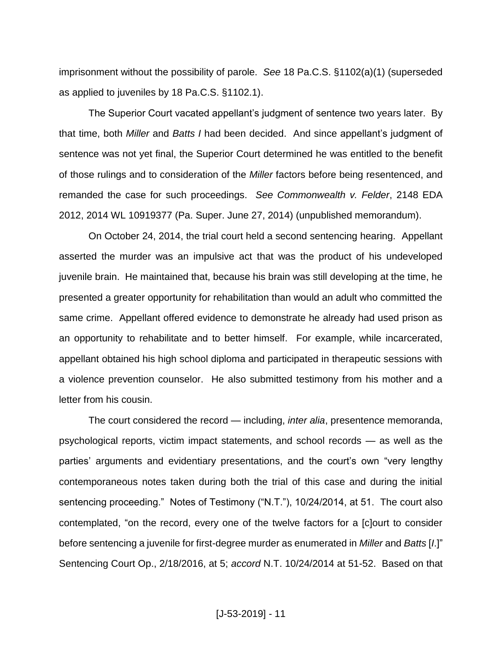imprisonment without the possibility of parole. *See* 18 Pa.C.S. §1102(a)(1) (superseded as applied to juveniles by 18 Pa.C.S. §1102.1).

The Superior Court vacated appellant's judgment of sentence two years later. By that time, both *Miller* and *Batts I* had been decided. And since appellant's judgment of sentence was not yet final, the Superior Court determined he was entitled to the benefit of those rulings and to consideration of the *Miller* factors before being resentenced, and remanded the case for such proceedings. *See Commonwealth v. Felder*, 2148 EDA 2012, 2014 WL 10919377 (Pa. Super. June 27, 2014) (unpublished memorandum).

On October 24, 2014, the trial court held a second sentencing hearing. Appellant asserted the murder was an impulsive act that was the product of his undeveloped juvenile brain. He maintained that, because his brain was still developing at the time, he presented a greater opportunity for rehabilitation than would an adult who committed the same crime. Appellant offered evidence to demonstrate he already had used prison as an opportunity to rehabilitate and to better himself. For example, while incarcerated, appellant obtained his high school diploma and participated in therapeutic sessions with a violence prevention counselor. He also submitted testimony from his mother and a letter from his cousin.

The court considered the record — including, *inter alia*, presentence memoranda, psychological reports, victim impact statements, and school records — as well as the parties' arguments and evidentiary presentations, and the court's own "very lengthy contemporaneous notes taken during both the trial of this case and during the initial sentencing proceeding." Notes of Testimony ("N.T."), 10/24/2014, at 51. The court also contemplated, "on the record, every one of the twelve factors for a [c]ourt to consider before sentencing a juvenile for first-degree murder as enumerated in *Miller* and *Batts* [*I*.]" Sentencing Court Op., 2/18/2016, at 5; *accord* N.T. 10/24/2014 at 51-52. Based on that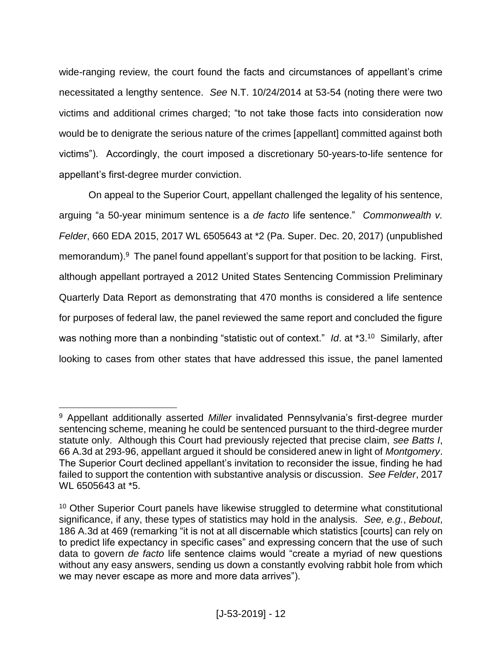wide-ranging review, the court found the facts and circumstances of appellant's crime necessitated a lengthy sentence. *See* N.T. 10/24/2014 at 53-54 (noting there were two victims and additional crimes charged; "to not take those facts into consideration now would be to denigrate the serious nature of the crimes [appellant] committed against both victims"). Accordingly, the court imposed a discretionary 50-years-to-life sentence for appellant's first-degree murder conviction.

On appeal to the Superior Court, appellant challenged the legality of his sentence, arguing "a 50-year minimum sentence is a *de facto* life sentence." *Commonwealth v. Felder*, 660 EDA 2015, 2017 WL 6505643 at \*2 (Pa. Super. Dec. 20, 2017) (unpublished memorandum). <sup>9</sup> The panel found appellant's support for that position to be lacking. First, although appellant portrayed a 2012 United States Sentencing Commission Preliminary Quarterly Data Report as demonstrating that 470 months is considered a life sentence for purposes of federal law, the panel reviewed the same report and concluded the figure was nothing more than a nonbinding "statistic out of context." *Id*. at \*3.<sup>10</sup> Similarly, after looking to cases from other states that have addressed this issue, the panel lamented

<sup>9</sup> Appellant additionally asserted *Miller* invalidated Pennsylvania's first-degree murder sentencing scheme, meaning he could be sentenced pursuant to the third-degree murder statute only. Although this Court had previously rejected that precise claim, *see Batts I*, 66 A.3d at 293-96, appellant argued it should be considered anew in light of *Montgomery*. The Superior Court declined appellant's invitation to reconsider the issue, finding he had failed to support the contention with substantive analysis or discussion. *See Felder*, 2017 WL 6505643 at \*5.

<sup>&</sup>lt;sup>10</sup> Other Superior Court panels have likewise struggled to determine what constitutional significance, if any, these types of statistics may hold in the analysis. *See, e.g.*, *Bebout*, 186 A.3d at 469 (remarking "it is not at all discernable which statistics [courts] can rely on to predict life expectancy in specific cases" and expressing concern that the use of such data to govern *de facto* life sentence claims would "create a myriad of new questions without any easy answers, sending us down a constantly evolving rabbit hole from which we may never escape as more and more data arrives").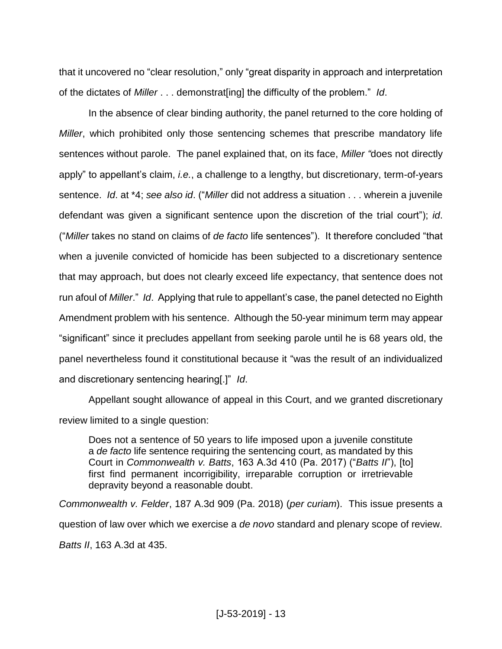that it uncovered no "clear resolution," only "great disparity in approach and interpretation of the dictates of *Miller* . . . demonstrat[ing] the difficulty of the problem." *Id*.

In the absence of clear binding authority, the panel returned to the core holding of *Miller*, which prohibited only those sentencing schemes that prescribe mandatory life sentences without parole. The panel explained that, on its face, *Miller "*does not directly apply" to appellant's claim, *i.e.*, a challenge to a lengthy, but discretionary, term-of-years sentence. *Id*. at \*4; *see also id*. ("*Miller* did not address a situation . . . wherein a juvenile defendant was given a significant sentence upon the discretion of the trial court"); *id*. ("*Miller* takes no stand on claims of *de facto* life sentences"). It therefore concluded "that when a juvenile convicted of homicide has been subjected to a discretionary sentence that may approach, but does not clearly exceed life expectancy, that sentence does not run afoul of *Miller*." *Id*. Applying that rule to appellant's case, the panel detected no Eighth Amendment problem with his sentence. Although the 50-year minimum term may appear "significant" since it precludes appellant from seeking parole until he is 68 years old, the panel nevertheless found it constitutional because it "was the result of an individualized and discretionary sentencing hearing[.]" *Id*.

Appellant sought allowance of appeal in this Court, and we granted discretionary review limited to a single question:

Does not a sentence of 50 years to life imposed upon a juvenile constitute a *de facto* life sentence requiring the sentencing court, as mandated by this Court in *Commonwealth v. Batts*, 163 A.3d 410 (Pa. 2017) ("*Batts II*"), [to] first find permanent incorrigibility, irreparable corruption or irretrievable depravity beyond a reasonable doubt.

*Commonwealth v. Felder*, 187 A.3d 909 (Pa. 2018) (*per curiam*). This issue presents a question of law over which we exercise a *de novo* standard and plenary scope of review. *Batts II*, 163 A.3d at 435.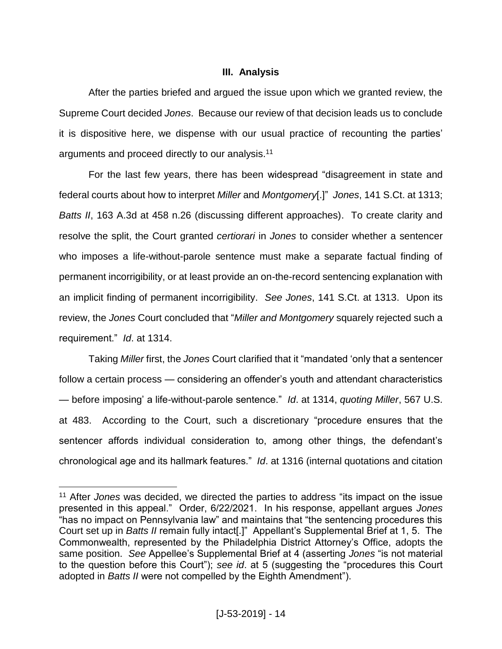## **III. Analysis**

After the parties briefed and argued the issue upon which we granted review, the Supreme Court decided *Jones*. Because our review of that decision leads us to conclude it is dispositive here, we dispense with our usual practice of recounting the parties' arguments and proceed directly to our analysis.<sup>11</sup>

For the last few years, there has been widespread "disagreement in state and federal courts about how to interpret *Miller* and *Montgomery*[.]" *Jones*, 141 S.Ct. at 1313; *Batts II*, 163 A.3d at 458 n.26 (discussing different approaches). To create clarity and resolve the split, the Court granted *certiorari* in *Jones* to consider whether a sentencer who imposes a life-without-parole sentence must make a separate factual finding of permanent incorrigibility, or at least provide an on-the-record sentencing explanation with an implicit finding of permanent incorrigibility. *See Jones*, 141 S.Ct. at 1313. Upon its review, the *Jones* Court concluded that "*Miller and Montgomery* squarely rejected such a requirement." *Id*. at 1314.

Taking *Miller* first, the *Jones* Court clarified that it "mandated 'only that a sentencer follow a certain process — considering an offender's youth and attendant characteristics — before imposing' a life-without-parole sentence." *Id*. at 1314, *quoting Miller*, 567 U.S. at 483. According to the Court, such a discretionary "procedure ensures that the sentencer affords individual consideration to, among other things, the defendant's chronological age and its hallmark features." *Id*. at 1316 (internal quotations and citation

<sup>11</sup> After *Jones* was decided, we directed the parties to address "its impact on the issue presented in this appeal." Order, 6/22/2021. In his response, appellant argues *Jones* "has no impact on Pennsylvania law" and maintains that "the sentencing procedures this Court set up in *Batts II* remain fully intact[.]" Appellant's Supplemental Brief at 1, 5. The Commonwealth, represented by the Philadelphia District Attorney's Office, adopts the same position. *See* Appellee's Supplemental Brief at 4 (asserting *Jones* "is not material to the question before this Court"); *see id*. at 5 (suggesting the "procedures this Court adopted in *Batts II* were not compelled by the Eighth Amendment").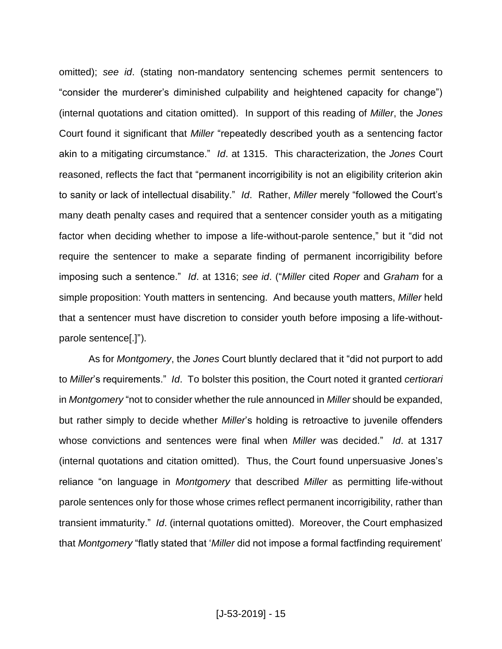omitted); *see id*. (stating non-mandatory sentencing schemes permit sentencers to "consider the murderer's diminished culpability and heightened capacity for change") (internal quotations and citation omitted). In support of this reading of *Miller*, the *Jones* Court found it significant that *Miller* "repeatedly described youth as a sentencing factor akin to a mitigating circumstance." *Id*. at 1315. This characterization, the *Jones* Court reasoned, reflects the fact that "permanent incorrigibility is not an eligibility criterion akin to sanity or lack of intellectual disability." *Id*. Rather, *Miller* merely "followed the Court's many death penalty cases and required that a sentencer consider youth as a mitigating factor when deciding whether to impose a life-without-parole sentence," but it "did not require the sentencer to make a separate finding of permanent incorrigibility before imposing such a sentence." *Id*. at 1316; *see id*. ("*Miller* cited *Roper* and *Graham* for a simple proposition: Youth matters in sentencing. And because youth matters, *Miller* held that a sentencer must have discretion to consider youth before imposing a life-withoutparole sentence[.]").

As for *Montgomery*, the *Jones* Court bluntly declared that it "did not purport to add to *Miller*'s requirements." *Id*. To bolster this position, the Court noted it granted *certiorari*  in *Montgomery* "not to consider whether the rule announced in *Miller* should be expanded, but rather simply to decide whether *Miller*'s holding is retroactive to juvenile offenders whose convictions and sentences were final when *Miller* was decided." *Id*. at 1317 (internal quotations and citation omitted). Thus, the Court found unpersuasive Jones's reliance "on language in *Montgomery* that described *Miller* as permitting life-without parole sentences only for those whose crimes reflect permanent incorrigibility, rather than transient immaturity." *Id*. (internal quotations omitted). Moreover, the Court emphasized that *Montgomery* "flatly stated that '*Miller* did not impose a formal factfinding requirement'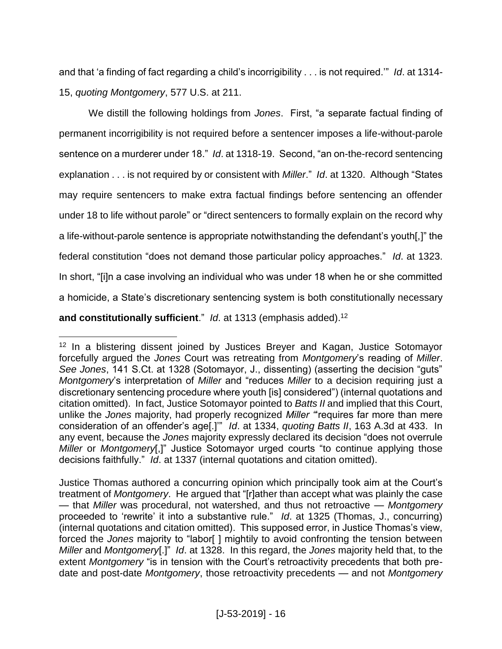and that 'a finding of fact regarding a child's incorrigibility . . . is not required.'" *Id*. at 1314- 15, *quoting Montgomery*, 577 U.S. at 211.

We distill the following holdings from *Jones*. First, "a separate factual finding of permanent incorrigibility is not required before a sentencer imposes a life-without-parole sentence on a murderer under 18." *Id*. at 1318-19. Second, "an on-the-record sentencing explanation . . . is not required by or consistent with *Miller*." *Id*. at 1320. Although "States may require sentencers to make extra factual findings before sentencing an offender under 18 to life without parole" or "direct sentencers to formally explain on the record why a life-without-parole sentence is appropriate notwithstanding the defendant's youth[,]" the federal constitution "does not demand those particular policy approaches." *Id*. at 1323. In short, "[i]n a case involving an individual who was under 18 when he or she committed a homicide, a State's discretionary sentencing system is both constitutionally necessary **and constitutionally sufficient**." *Id*. at 1313 (emphasis added). 12

<sup>&</sup>lt;sup>12</sup> In a blistering dissent joined by Justices Breyer and Kagan, Justice Sotomayor forcefully argued the *Jones* Court was retreating from *Montgomery*'s reading of *Miller*. *See Jones*, 141 S.Ct. at 1328 (Sotomayor, J., dissenting) (asserting the decision "guts" *Montgomery*'s interpretation of *Miller* and "reduces *Miller* to a decision requiring just a discretionary sentencing procedure where youth [is] considered") (internal quotations and citation omitted). In fact, Justice Sotomayor pointed to *Batts II* and implied that this Court, unlike the *Jones* majority, had properly recognized *Miller "*'requires far more than mere consideration of an offender's age[.]'" *Id*. at 1334, *quoting Batts II*, 163 A.3d at 433. In any event, because the *Jones* majority expressly declared its decision "does not overrule *Miller* or *Montgomery*[,]" Justice Sotomayor urged courts "to continue applying those decisions faithfully." *Id*. at 1337 (internal quotations and citation omitted).

Justice Thomas authored a concurring opinion which principally took aim at the Court's treatment of *Montgomery*. He argued that "[r]ather than accept what was plainly the case — that *Miller* was procedural, not watershed, and thus not retroactive — *Montgomery*  proceeded to 'rewrite' it into a substantive rule." *Id*. at 1325 (Thomas, J., concurring) (internal quotations and citation omitted). This supposed error, in Justice Thomas's view, forced the *Jones* majority to "labor[ ] mightily to avoid confronting the tension between *Miller* and *Montgomery*[.]" *Id*. at 1328. In this regard, the *Jones* majority held that, to the extent *Montgomery* "is in tension with the Court's retroactivity precedents that both predate and post-date *Montgomery*, those retroactivity precedents — and not *Montgomery*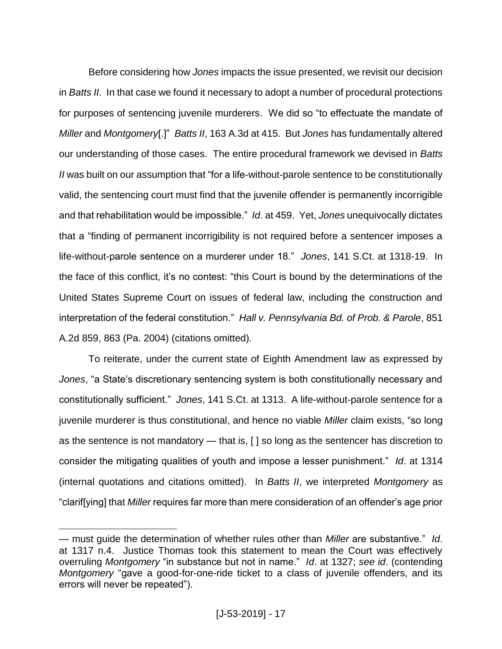Before considering how *Jones* impacts the issue presented, we revisit our decision in *Batts II*. In that case we found it necessary to adopt a number of procedural protections for purposes of sentencing juvenile murderers. We did so "to effectuate the mandate of *Miller* and *Montgomery*[.]" *Batts II*, 163 A.3d at 415. But *Jones* has fundamentally altered our understanding of those cases. The entire procedural framework we devised in *Batts II* was built on our assumption that "for a life-without-parole sentence to be constitutionally valid, the sentencing court must find that the juvenile offender is permanently incorrigible and that rehabilitation would be impossible." *Id*. at 459. Yet, *Jones* unequivocally dictates that a "finding of permanent incorrigibility is not required before a sentencer imposes a life-without-parole sentence on a murderer under 18." *Jones*, 141 S.Ct. at 1318-19. In the face of this conflict, it's no contest: "this Court is bound by the determinations of the United States Supreme Court on issues of federal law, including the construction and interpretation of the federal constitution." *Hall v. Pennsylvania Bd. of Prob. & Parole*, 851 A.2d 859, 863 (Pa. 2004) (citations omitted).

To reiterate, under the current state of Eighth Amendment law as expressed by *Jones*, "a State's discretionary sentencing system is both constitutionally necessary and constitutionally sufficient." *Jones*, 141 S.Ct. at 1313. A life-without-parole sentence for a juvenile murderer is thus constitutional, and hence no viable *Miller* claim exists, "so long as the sentence is not mandatory — that is, [ ] so long as the sentencer has discretion to consider the mitigating qualities of youth and impose a lesser punishment." *Id*. at 1314 (internal quotations and citations omitted). In *Batts II*, we interpreted *Montgomery* as "clarif[ying] that *Miller* requires far more than mere consideration of an offender's age prior

<sup>—</sup> must guide the determination of whether rules other than *Miller* are substantive." *Id*. at 1317 n.4. Justice Thomas took this statement to mean the Court was effectively overruling *Montgomery* "in substance but not in name." *Id*. at 1327; *see id*. (contending *Montgomery* "gave a good-for-one-ride ticket to a class of juvenile offenders, and its errors will never be repeated").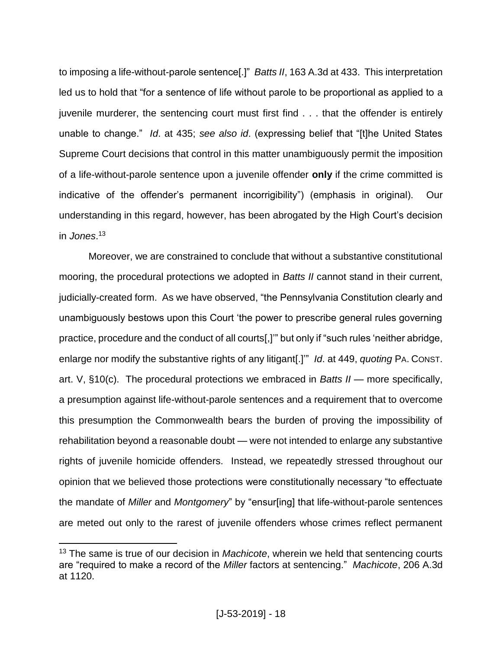to imposing a life-without-parole sentence[.]" *Batts II*, 163 A.3d at 433. This interpretation led us to hold that "for a sentence of life without parole to be proportional as applied to a juvenile murderer, the sentencing court must first find . . . that the offender is entirely unable to change." *Id*. at 435; *see also id*. (expressing belief that "[t]he United States Supreme Court decisions that control in this matter unambiguously permit the imposition of a life-without-parole sentence upon a juvenile offender **only** if the crime committed is indicative of the offender's permanent incorrigibility") (emphasis in original). Our understanding in this regard, however, has been abrogated by the High Court's decision in *Jones*. 13

Moreover, we are constrained to conclude that without a substantive constitutional mooring, the procedural protections we adopted in *Batts II* cannot stand in their current, judicially-created form. As we have observed, "the Pennsylvania Constitution clearly and unambiguously bestows upon this Court 'the power to prescribe general rules governing practice, procedure and the conduct of all courts[,]'" but only if "such rules 'neither abridge, enlarge nor modify the substantive rights of any litigant[.]'" *Id*. at 449, *quoting* PA. CONST. art. V, §10(c). The procedural protections we embraced in *Batts II* — more specifically, a presumption against life-without-parole sentences and a requirement that to overcome this presumption the Commonwealth bears the burden of proving the impossibility of rehabilitation beyond a reasonable doubt — were not intended to enlarge any substantive rights of juvenile homicide offenders. Instead, we repeatedly stressed throughout our opinion that we believed those protections were constitutionally necessary "to effectuate the mandate of *Miller* and *Montgomery*" by "ensur[ing] that life-without-parole sentences are meted out only to the rarest of juvenile offenders whose crimes reflect permanent

<sup>13</sup> The same is true of our decision in *Machicote*, wherein we held that sentencing courts are "required to make a record of the *Miller* factors at sentencing." *Machicote*, 206 A.3d at 1120.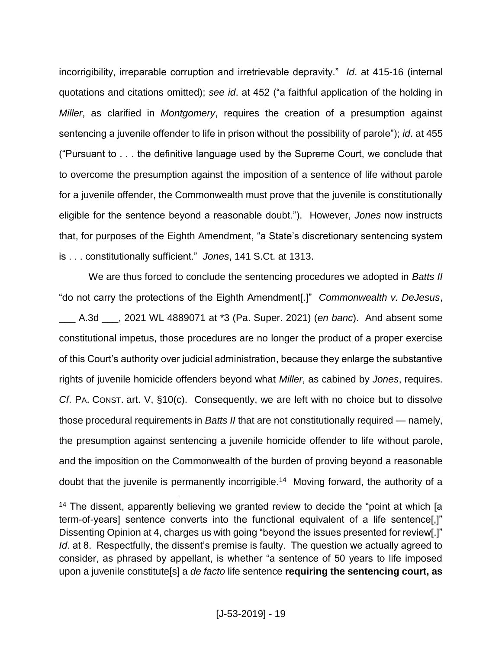incorrigibility, irreparable corruption and irretrievable depravity." *Id*. at 415-16 (internal quotations and citations omitted); *see id*. at 452 ("a faithful application of the holding in *Miller*, as clarified in *Montgomery*, requires the creation of a presumption against sentencing a juvenile offender to life in prison without the possibility of parole"); *id*. at 455 ("Pursuant to . . . the definitive language used by the Supreme Court, we conclude that to overcome the presumption against the imposition of a sentence of life without parole for a juvenile offender, the Commonwealth must prove that the juvenile is constitutionally eligible for the sentence beyond a reasonable doubt."). However, *Jones* now instructs that, for purposes of the Eighth Amendment, "a State's discretionary sentencing system is . . . constitutionally sufficient." *Jones*, 141 S.Ct. at 1313.

We are thus forced to conclude the sentencing procedures we adopted in *Batts II* "do not carry the protections of the Eighth Amendment[.]" *Commonwealth v. DeJesus*, \_\_\_ A.3d \_\_\_, 2021 WL 4889071 at \*3 (Pa. Super. 2021) (*en banc*). And absent some constitutional impetus, those procedures are no longer the product of a proper exercise of this Court's authority over judicial administration, because they enlarge the substantive rights of juvenile homicide offenders beyond what *Miller*, as cabined by *Jones*, requires. *Cf*. PA. CONST. art. V, §10(c). Consequently, we are left with no choice but to dissolve those procedural requirements in *Batts II* that are not constitutionally required — namely, the presumption against sentencing a juvenile homicide offender to life without parole, and the imposition on the Commonwealth of the burden of proving beyond a reasonable doubt that the juvenile is permanently incorrigible. 14 Moving forward, the authority of a

<sup>&</sup>lt;sup>14</sup> The dissent, apparently believing we granted review to decide the "point at which [a term-of-years] sentence converts into the functional equivalent of a life sentence[,]" Dissenting Opinion at 4, charges us with going "beyond the issues presented for review[.]" *Id.* at 8. Respectfully, the dissent's premise is faulty. The question we actually agreed to consider, as phrased by appellant, is whether "a sentence of 50 years to life imposed upon a juvenile constitute[s] a *de facto* life sentence **requiring the sentencing court, as**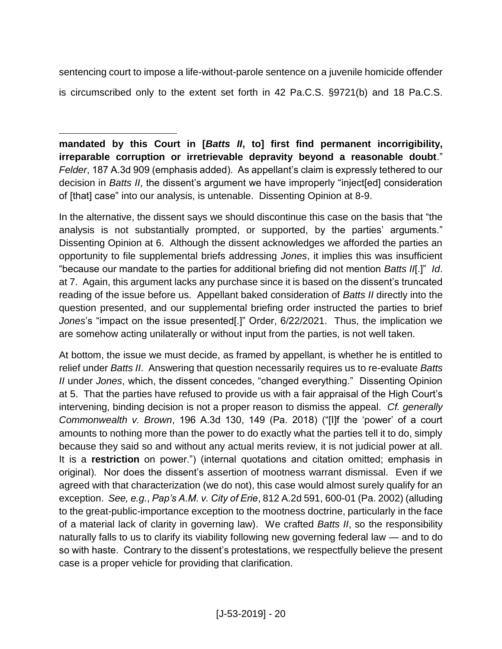sentencing court to impose a life-without-parole sentence on a juvenile homicide offender is circumscribed only to the extent set forth in 42 Pa.C.S. §9721(b) and 18 Pa.C.S.

 $\overline{a}$ **mandated by this Court in [***Batts II***, to] first find permanent incorrigibility, irreparable corruption or irretrievable depravity beyond a reasonable doubt**." *Felder*, 187 A.3d 909 (emphasis added). As appellant's claim is expressly tethered to our decision in *Batts II*, the dissent's argument we have improperly "inject[ed] consideration of [that] case" into our analysis, is untenable. Dissenting Opinion at 8-9.

In the alternative, the dissent says we should discontinue this case on the basis that "the analysis is not substantially prompted, or supported, by the parties' arguments." Dissenting Opinion at 6. Although the dissent acknowledges we afforded the parties an opportunity to file supplemental briefs addressing *Jones*, it implies this was insufficient "because our mandate to the parties for additional briefing did not mention *Batts II*[.]" *Id*. at 7. Again, this argument lacks any purchase since it is based on the dissent's truncated reading of the issue before us. Appellant baked consideration of *Batts II* directly into the question presented, and our supplemental briefing order instructed the parties to brief *Jones*'s "impact on the issue presented[.]" Order, 6/22/2021. Thus, the implication we are somehow acting unilaterally or without input from the parties, is not well taken.

At bottom, the issue we must decide, as framed by appellant, is whether he is entitled to relief under *Batts II*. Answering that question necessarily requires us to re-evaluate *Batts II* under *Jones*, which, the dissent concedes, "changed everything." Dissenting Opinion at 5. That the parties have refused to provide us with a fair appraisal of the High Court's intervening, binding decision is not a proper reason to dismiss the appeal. *Cf. generally Commonwealth v. Brown*, 196 A.3d 130, 149 (Pa. 2018) ("[I]f the 'power' of a court amounts to nothing more than the power to do exactly what the parties tell it to do, simply because they said so and without any actual merits review, it is not judicial power at all. It is a **restriction** on power.") (internal quotations and citation omitted; emphasis in original). Nor does the dissent's assertion of mootness warrant dismissal. Even if we agreed with that characterization (we do not), this case would almost surely qualify for an exception. *See, e.g.*, *Pap's A.M. v. City of Erie*, 812 A.2d 591, 600-01 (Pa. 2002) (alluding to the great-public-importance exception to the mootness doctrine, particularly in the face of a material lack of clarity in governing law). We crafted *Batts II*, so the responsibility naturally falls to us to clarify its viability following new governing federal law — and to do so with haste. Contrary to the dissent's protestations, we respectfully believe the present case is a proper vehicle for providing that clarification.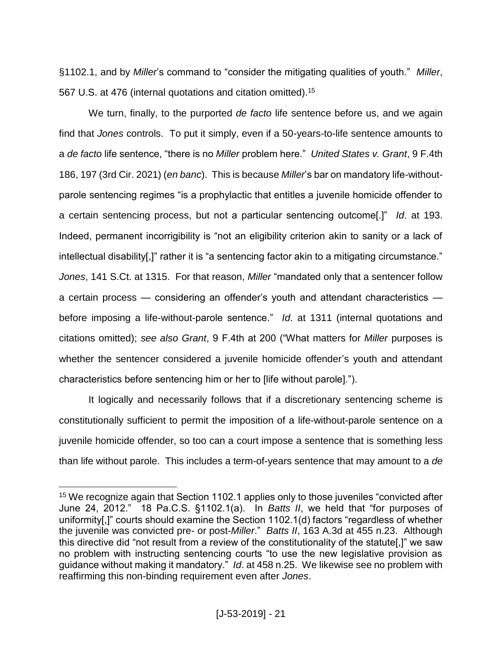§1102.1, and by *Miller*'s command to "consider the mitigating qualities of youth." *Miller*, 567 U.S. at 476 (internal quotations and citation omitted).<sup>15</sup>

We turn, finally, to the purported *de facto* life sentence before us, and we again find that *Jones* controls. To put it simply, even if a 50-years-to-life sentence amounts to a *de facto* life sentence, "there is no *Miller* problem here." *United States v. Grant*, 9 F.4th 186, 197 (3rd Cir. 2021) (*en banc*). This is because *Miller*'s bar on mandatory life-withoutparole sentencing regimes "is a prophylactic that entitles a juvenile homicide offender to a certain sentencing process, but not a particular sentencing outcome[.]" *Id*. at 193. Indeed, permanent incorrigibility is "not an eligibility criterion akin to sanity or a lack of intellectual disability[,]" rather it is "a sentencing factor akin to a mitigating circumstance." *Jones*, 141 S.Ct. at 1315. For that reason, *Miller* "mandated only that a sentencer follow a certain process — considering an offender's youth and attendant characteristics before imposing a life-without-parole sentence." *Id*. at 1311 (internal quotations and citations omitted); *see also Grant*, 9 F.4th at 200 ("What matters for *Miller* purposes is whether the sentencer considered a juvenile homicide offender's youth and attendant characteristics before sentencing him or her to [life without parole].").

It logically and necessarily follows that if a discretionary sentencing scheme is constitutionally sufficient to permit the imposition of a life-without-parole sentence on a juvenile homicide offender, so too can a court impose a sentence that is something less than life without parole. This includes a term-of-years sentence that may amount to a *de* 

<sup>&</sup>lt;sup>15</sup> We recognize again that Section 1102.1 applies only to those juveniles "convicted after June 24, 2012." 18 Pa.C.S. §1102.1(a). In *Batts II*, we held that "for purposes of uniformity[,]" courts should examine the Section 1102.1(d) factors "regardless of whether the juvenile was convicted pre- or post-*Miller*." *Batts II*, 163 A.3d at 455 n.23. Although this directive did "not result from a review of the constitutionality of the statute[,]" we saw no problem with instructing sentencing courts "to use the new legislative provision as guidance without making it mandatory." *Id*. at 458 n.25. We likewise see no problem with reaffirming this non-binding requirement even after *Jones*.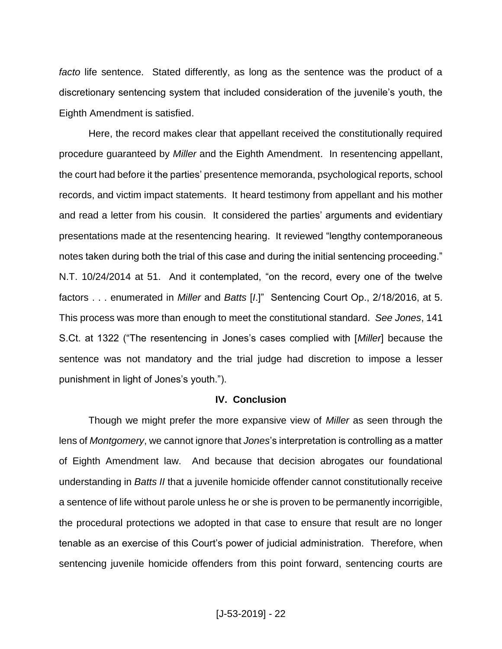*facto* life sentence. Stated differently, as long as the sentence was the product of a discretionary sentencing system that included consideration of the juvenile's youth, the Eighth Amendment is satisfied.

Here, the record makes clear that appellant received the constitutionally required procedure guaranteed by *Miller* and the Eighth Amendment. In resentencing appellant, the court had before it the parties' presentence memoranda, psychological reports, school records, and victim impact statements. It heard testimony from appellant and his mother and read a letter from his cousin. It considered the parties' arguments and evidentiary presentations made at the resentencing hearing. It reviewed "lengthy contemporaneous notes taken during both the trial of this case and during the initial sentencing proceeding." N.T. 10/24/2014 at 51. And it contemplated, "on the record, every one of the twelve factors . . . enumerated in *Miller* and *Batts* [*I*.]" Sentencing Court Op., 2/18/2016, at 5. This process was more than enough to meet the constitutional standard. *See Jones*, 141 S.Ct. at 1322 ("The resentencing in Jones's cases complied with [*Miller*] because the sentence was not mandatory and the trial judge had discretion to impose a lesser punishment in light of Jones's youth.").

#### **IV. Conclusion**

Though we might prefer the more expansive view of *Miller* as seen through the lens of *Montgomery*, we cannot ignore that *Jones*'s interpretation is controlling as a matter of Eighth Amendment law. And because that decision abrogates our foundational understanding in *Batts II* that a juvenile homicide offender cannot constitutionally receive a sentence of life without parole unless he or she is proven to be permanently incorrigible, the procedural protections we adopted in that case to ensure that result are no longer tenable as an exercise of this Court's power of judicial administration. Therefore, when sentencing juvenile homicide offenders from this point forward, sentencing courts are